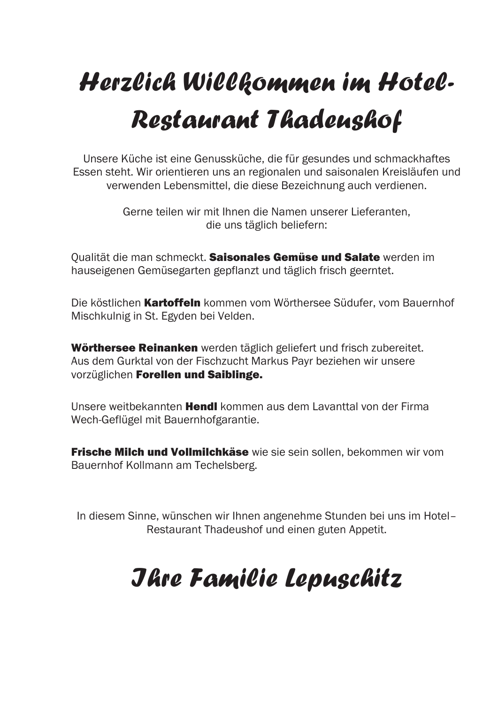# *Herzlich Willkommen im Hotel-Restaurant Thadeushof*

Unsere Küche ist eine Genussküche, die für gesundes und schmackhaftes Essen steht. Wir orientieren uns an regionalen und saisonalen Kreisläufen und verwenden Lebensmittel, die diese Bezeichnung auch verdienen.

> Gerne teilen wir mit Ihnen die Namen unserer Lieferanten, die uns täglich beliefern:

Qualität die man schmeckt. Saisonales Gemüse und Salate werden im hauseigenen Gemüsegarten gepflanzt und täglich frisch geerntet.

Die köstlichen Kartoffeln kommen vom Wörthersee Südufer, vom Bauernhof Mischkulnig in St. Egyden bei Velden.

Wörthersee Reinanken werden täglich geliefert und frisch zubereitet. Aus dem Gurktal von der Fischzucht Markus Payr beziehen wir unsere vorzüglichen Forellen und Saiblinge.

Unsere weitbekannten **Hendl** kommen aus dem Lavanttal von der Firma Wech-Geflügel mit Bauernhofgarantie.

**Frische Milch und Vollmilchkäse** wie sie sein sollen, bekommen wir vom Bauernhof Kollmann am Techelsberg.

In diesem Sinne, wünschen wir Ihnen angenehme Stunden bei uns im Hotel– Restaurant Thadeushof und einen guten Appetit.

### *Ihre Familie Lepuschitz*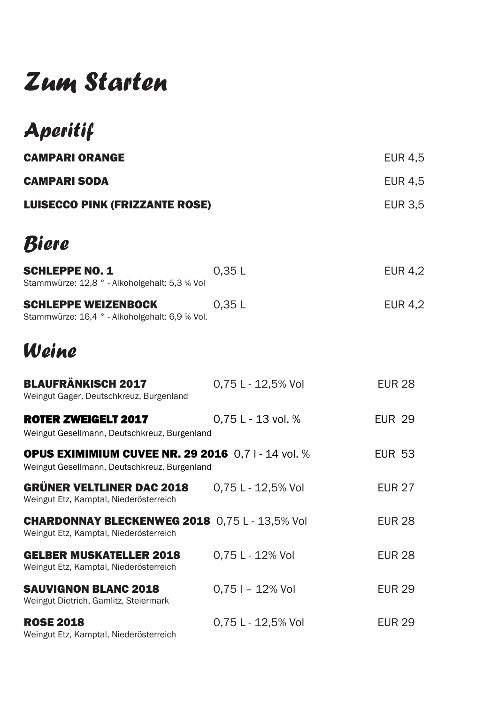### *Zum Starten*

| Aperitif                                                                                                 |                    |                |
|----------------------------------------------------------------------------------------------------------|--------------------|----------------|
| <b>CAMPARI ORANGE</b>                                                                                    |                    | <b>EUR 4,5</b> |
| <b>CAMPARI SODA</b>                                                                                      |                    | <b>EUR 4,5</b> |
| <b>LUISECCO PINK (FRIZZANTE ROSE)</b>                                                                    |                    | <b>EUR 3,5</b> |
| Biere                                                                                                    |                    |                |
| <b>SCHLEPPE NO. 1</b><br>Stammwürze: 12,8 ° - Alkoholgehalt: 5,3 % Vol                                   | 0,35L              | <b>EUR 4,2</b> |
| <b>SCHLEPPE WEIZENBOCK</b><br>Stammwürze: 16,4 ° - Alkoholgehalt: 6,9 % Vol.                             | 0,35L              | <b>EUR 4,2</b> |
| Weine                                                                                                    |                    |                |
| <b>BLAUFRÄNKISCH 2017</b><br>Weingut Gager, Deutschkreuz, Burgenland                                     | 0.75 L - 12,5% Vol | <b>EUR 28</b>  |
| <b>ROTER ZWEIGELT 2017</b><br>Weingut Gesellmann, Deutschkreuz, Burgenland                               | 0,75 L - 13 vol. % | <b>EUR 29</b>  |
| <b>OPUS EXIMIMIUM CUVEE NR. 29 2016</b> 0,71 - 14 vol. %<br>Weingut Gesellmann, Deutschkreuz, Burgenland |                    | <b>EUR 53</b>  |
| <b>GRÜNER VELTLINER DAC 2018</b><br>Weingut Etz, Kamptal, Niederösterreich                               | 0,75 L - 12,5% Vol | <b>EUR 27</b>  |
| <b>CHARDONNAY BLECKENWEG 2018</b> 0,75 L - 13,5% Vol<br>Weingut Etz, Kamptal, Niederösterreich           |                    | <b>EUR 28</b>  |
| <b>GELBER MUSKATELLER 2018</b><br>Weingut Etz, Kamptal, Niederösterreich                                 | 0,75 L - 12% Vol   | <b>EUR 28</b>  |
| <b>SAUVIGNON BLANC 2018</b><br>Weingut Dietrich, Gamlitz, Steiermark                                     | $0.751 - 12\%$ Vol | <b>EUR 29</b>  |
| <b>ROSE 2018</b>                                                                                         | 0,75 L - 12,5% Vol | <b>EUR 29</b>  |

Weingut Etz, Kamptal, Niederösterreich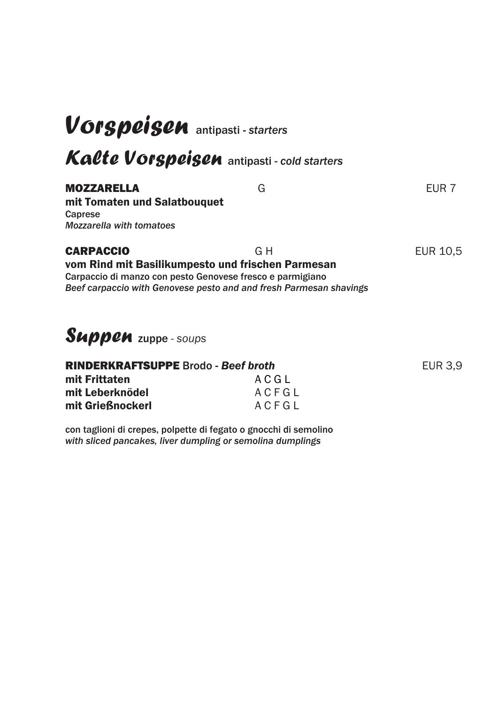### *Vorspeisen* antipasti *- starters*

*Kalte Vorspeisen* antipasti - *cold starters* 

#### MOZZARELLA G EUR 7

mit Tomaten und Salatbouquet Caprese *Mozzarella with tomatoes*

#### CARPACCIO GH EUR 10,5

#### vom Rind mit Basilikumpesto und frischen Parmesan Carpaccio di manzo con pesto Genovese fresco e parmigiano *Beef carpaccio with Genovese pesto and and fresh Parmesan shavings*

#### *Suppen* zuppe - *soups*

| <b>RINDERKRAFTSUPPE</b> Brodo - Beef broth |       | <b>EUR 3.9</b> |
|--------------------------------------------|-------|----------------|
| mit Frittaten                              | ACGL  |                |
| mit Leberknödel                            | ACFGL |                |
| mit Grießnockerl                           | ACFGL |                |
|                                            |       |                |

con taglioni di crepes, polpette di fegato o gnocchi di semolino *with sliced pancakes, liver dumpling or semolina dumplings*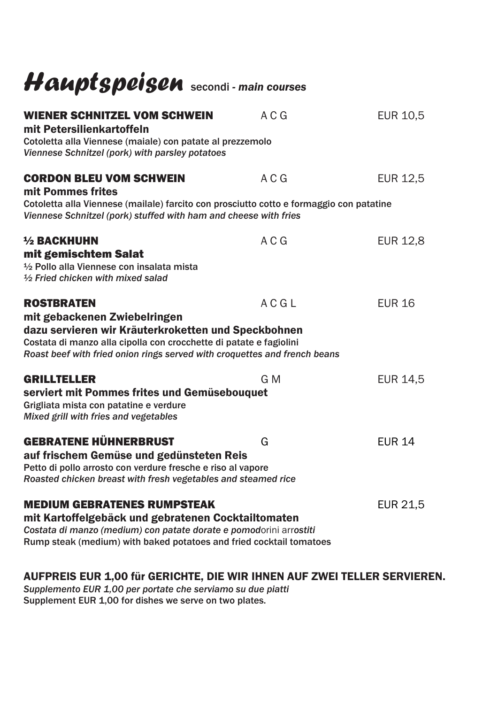## *Hauptspeisen* secondi *- main courses*

| <b>WIENER SCHNITZEL VOM SCHWEIN</b><br>mit Petersilienkartoffeln                                                                                                                                                                                            | A C G | <b>EUR 10,5</b> |
|-------------------------------------------------------------------------------------------------------------------------------------------------------------------------------------------------------------------------------------------------------------|-------|-----------------|
| Cotoletta alla Viennese (maiale) con patate al prezzemolo<br>Viennese Schnitzel (pork) with parsley potatoes                                                                                                                                                |       |                 |
| <b>CORDON BLEU VOM SCHWEIN</b><br>mit Pommes frites                                                                                                                                                                                                         | A C G | <b>EUR 12,5</b> |
| Cotoletta alla Viennese (mailale) farcito con prosciutto cotto e formaggio con patatine<br>Viennese Schnitzel (pork) stuffed with ham and cheese with fries                                                                                                 |       |                 |
| $1/2$ BACKHUHN<br>mit gemischtem Salat<br>1/2 Pollo alla Viennese con insalata mista<br>1/2 Fried chicken with mixed salad                                                                                                                                  | A C G | <b>EUR 12,8</b> |
| <b>ROSTBRATEN</b><br>mit gebackenen Zwiebelringen<br>dazu servieren wir Kräuterkroketten und Speckbohnen<br>Costata di manzo alla cipolla con crocchette di patate e fagiolini<br>Roast beef with fried onion rings served with croquettes and french beans | ACGL  | <b>EUR 16</b>   |
| <b>GRILLTELLER</b><br>serviert mit Pommes frites und Gemüsebouquet<br>Grigliata mista con patatine e verdure<br>Mixed grill with fries and vegetables                                                                                                       | G M   | <b>EUR 14,5</b> |
| <b>GEBRATENE HÜHNERBRUST</b><br>auf frischem Gemüse und gedünsteten Reis<br>Petto di pollo arrosto con verdure fresche e riso al vapore<br>Roasted chicken breast with fresh vegetables and steamed rice                                                    | G     | <b>EUR 14</b>   |
| <b>MEDIUM GEBRATENES RUMPSTEAK</b><br>mit Kartoffelgebäck und gebratenen Cocktailtomaten<br>Costata di manzo (medium) con patate dorate e pomodorini arrostiti<br>Rump steak (medium) with baked potatoes and fried cocktail tomatoes                       |       | EUR 21,5        |

#### AUFPREIS EUR 1,00 für GERICHTE, DIE WIR IHNEN AUF ZWEI TELLER SERVIEREN.

*Supplemento EUR 1,00 per portate che serviamo su due piatti* Supplement EUR 1,00 for dishes we serve on two plates.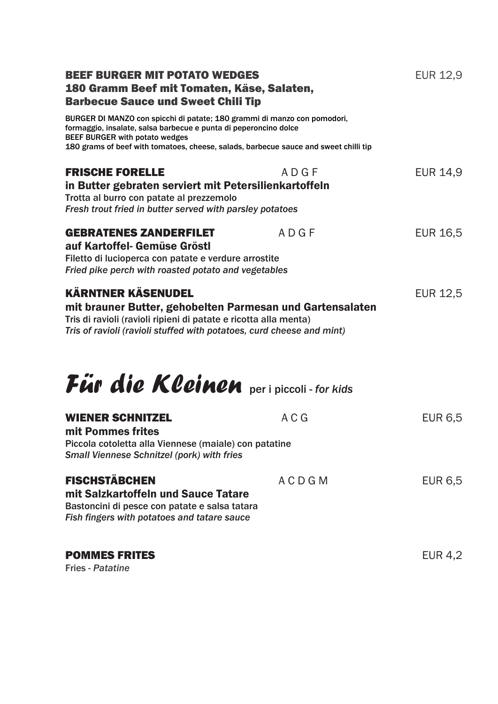| <b>BEEF BURGER MIT POTATO WEDGES</b><br>180 Gramm Beef mit Tomaten, Käse, Salaten,<br><b>Barbecue Sauce und Sweet Chili Tip</b>                                                                                                                                               |              | <b>EUR 12,9</b> |
|-------------------------------------------------------------------------------------------------------------------------------------------------------------------------------------------------------------------------------------------------------------------------------|--------------|-----------------|
| BURGER DI MANZO con spicchi di patate; 180 grammi di manzo con pomodori,<br>formaggio, insalate, salsa barbecue e punta di peperoncino dolce<br><b>BEEF BURGER with potato wedges</b><br>180 grams of beef with tomatoes, cheese, salads, barbecue sauce and sweet chilli tip |              |                 |
| <b>FRISCHE FORELLE</b><br>in Butter gebraten serviert mit Petersilienkartoffeln<br>Trotta al burro con patate al prezzemolo<br>Fresh trout fried in butter served with parsley potatoes                                                                                       | ADGF         | <b>EUR 14,9</b> |
| <b>GEBRATENES ZANDERFILET</b><br>auf Kartoffel- Gemüse Gröstl<br>Filetto di lucioperca con patate e verdure arrostite<br>Fried pike perch with roasted potato and vegetables                                                                                                  | ADGF         | EUR 16,5        |
| <b>KÄRNTNER KÄSENUDEL</b><br>mit brauner Butter, gehobelten Parmesan und Gartensalaten<br>Tris di ravioli (ravioli ripieni di patate e ricotta alla menta)<br>Tris of ravioli (ravioli stuffed with potatoes, curd cheese and mint)<br>Für die Kleinen peripiccoli-for kids   |              | <b>EUR 12,5</b> |
| <b>WIENER SCHNITZEL</b><br>mit Pommes frites<br>Piccola cotoletta alla Viennese (maiale) con patatine<br><b>Small Viennese Schnitzel (pork) with fries</b>                                                                                                                    | A C G        | <b>EUR 6,5</b>  |
| <b>FISCHSTÄBCHEN</b><br>mit Salzkartoffeln und Sauce Tatare<br>Bastoncini di pesce con patate e salsa tatara<br>Fish fingers with potatoes and tatare sauce                                                                                                                   | <b>ACDGM</b> | <b>EUR 6,5</b>  |
| <b>POMMES FRITES</b><br><b>Fries - Patatine</b>                                                                                                                                                                                                                               |              | <b>EUR 4,2</b>  |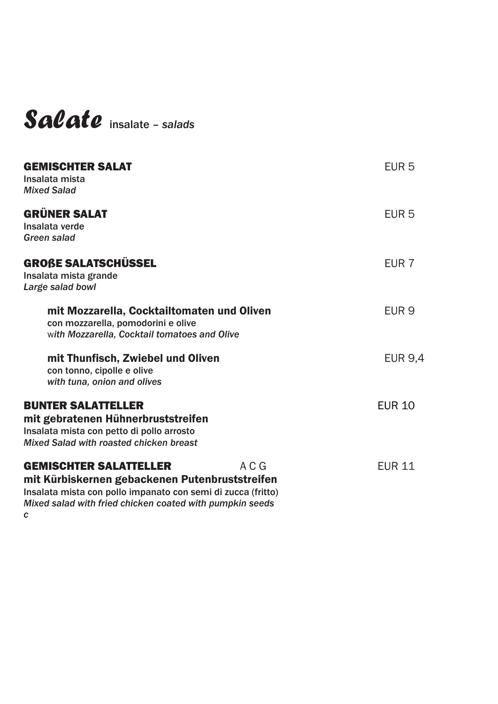#### *Salate* insalate *– salads*

| <b>GEMISCHTER SALAT</b><br>Insalata mista<br><b>Mixed Salad</b>                                                                                                                                                  |       | EUR <sub>5</sub> |
|------------------------------------------------------------------------------------------------------------------------------------------------------------------------------------------------------------------|-------|------------------|
| <b>GRÜNER SALAT</b><br>Insalata verde<br>Green salad                                                                                                                                                             |       | EUR <sub>5</sub> |
| <b>GROßE SALATSCHÜSSEL</b><br>Insalata mista grande<br>Large salad bowl                                                                                                                                          |       | EUR <sub>7</sub> |
| mit Mozzarella, Cocktailtomaten und Oliven<br>con mozzarella, pomodorini e olive<br>with Mozzarella, Cocktail tomatoes and Olive                                                                                 |       | EUR <sub>9</sub> |
| mit Thunfisch, Zwiebel und Oliven<br>con tonno, cipolle e olive<br>with tuna, onion and olives                                                                                                                   |       | <b>EUR 9.4</b>   |
| <b>BUNTER SALATTELLER</b><br>mit gebratenen Hühnerbruststreifen<br>Insalata mista con petto di pollo arrosto<br>Mixed Salad with roasted chicken breast                                                          |       | <b>EUR 10</b>    |
| <b>GEMISCHTER SALATTELLER</b><br>mit Kürbiskernen gebackenen Putenbruststreifen<br>Insalata mista con pollo impanato con semi di zucca (fritto)<br>Mixed salad with fried chicken coated with pumpkin seeds<br>C | A C G | <b>EUR 11</b>    |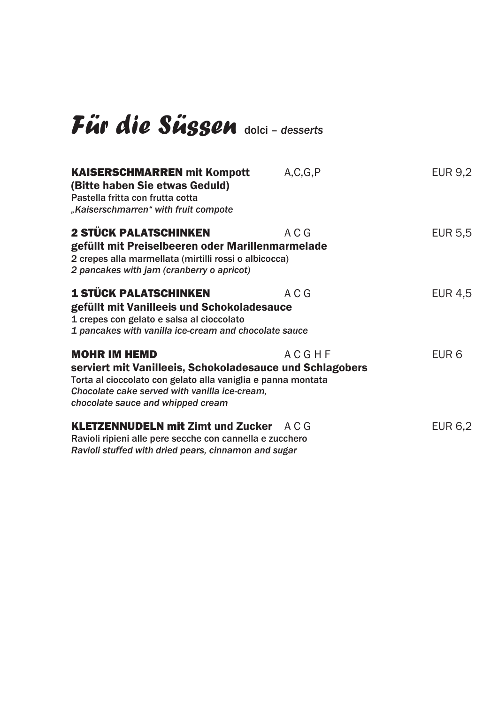## *Für die Süssen* dolci – *desserts*

| <b>KAISERSCHMARREN mit Kompott</b><br>(Bitte haben Sie etwas Geduld)<br>Pastella fritta con frutta cotta<br>"Kaiserschmarren" with fruit compote                                                                                      | A, C, G, P | <b>EUR 9,2</b>   |
|---------------------------------------------------------------------------------------------------------------------------------------------------------------------------------------------------------------------------------------|------------|------------------|
| <b>2 STÜCK PALATSCHINKEN</b><br>gefüllt mit Preiselbeeren oder Marillenmarmelade<br>2 crepes alla marmellata (mirtilli rossi o albicocca)<br>2 pancakes with jam (cranberry o apricot)                                                | A C G      | EUR 5,5          |
| <b>1 STÜCK PALATSCHINKEN</b><br>gefüllt mit Vanilleeis und Schokoladesauce<br>1 crepes con gelato e salsa al cioccolato<br>1 pancakes with vanilla ice-cream and chocolate sauce                                                      | A C G      | EUR 4,5          |
| <b>MOHR IM HEMD</b><br>serviert mit Vanilleeis, Schokoladesauce und Schlagobers<br>Torta al cioccolato con gelato alla vaniglia e panna montata<br>Chocolate cake served with vanilla ice-cream,<br>chocolate sauce and whipped cream | ACGHF      | EUR <sub>6</sub> |
| <b>KLETZENNUDELN mit Zimt und Zucker</b> A C G<br>Ravioli ripieni alle pere secche con cannella e zucchero<br>Ravioli stuffed with dried pears, cinnamon and sugar                                                                    |            | <b>EUR 6,2</b>   |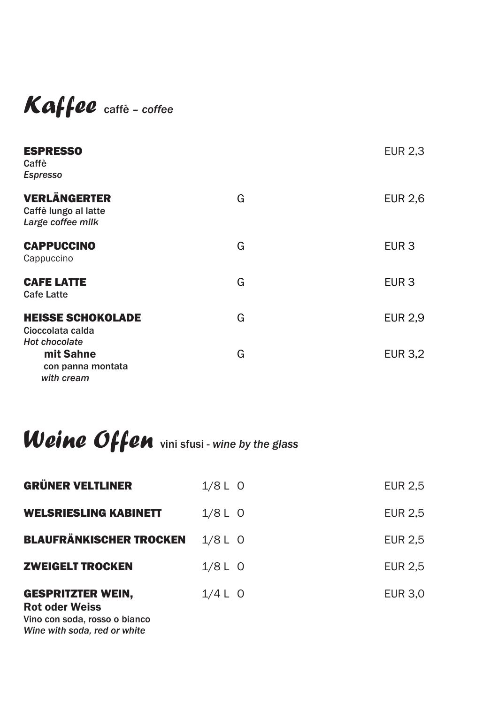#### *Kaffee* caffè *– coffee*

| <b>ESPRESSO</b><br>Caffè<br><b>Espresso</b>                          |   | <b>EUR 2,3</b>   |
|----------------------------------------------------------------------|---|------------------|
| <b>VERLÄNGERTER</b><br>Caffè lungo al latte<br>Large coffee milk     | G | <b>EUR 2,6</b>   |
| <b>CAPPUCCINO</b><br>Cappuccino                                      | G | EUR <sub>3</sub> |
| <b>CAFE LATTE</b><br><b>Cafe Latte</b>                               | G | EUR <sub>3</sub> |
| <b>HEISSE SCHOKOLADE</b><br>Cioccolata calda<br><b>Hot chocolate</b> | G | <b>EUR 2,9</b>   |
| mit Sahne<br>con panna montata<br>with cream                         | G | <b>EUR 3,2</b>   |

## *Weine Offen* vini sfusi *- wine by the glass*

| <b>GRÜNER VELTLINER</b>                                                                                            | $1/8$ L O | <b>EUR 2,5</b> |
|--------------------------------------------------------------------------------------------------------------------|-----------|----------------|
| <b>WELSRIESLING KABINETT</b>                                                                                       | $1/8$ L O | <b>EUR 2,5</b> |
| <b>BLAUFRÄNKISCHER TROCKEN</b>                                                                                     | $1/8$ L O | <b>EUR 2,5</b> |
| <b>ZWEIGELT TROCKEN</b>                                                                                            | $1/8$ L O | <b>EUR 2,5</b> |
| <b>GESPRITZTER WEIN,</b><br><b>Rot oder Weiss</b><br>Vino con soda, rosso o bianco<br>Wine with soda, red or white | $1/4$ L O | <b>EUR 3,0</b> |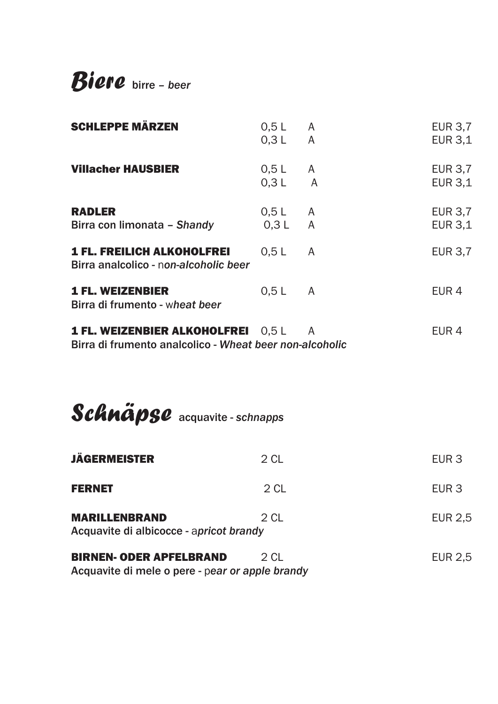*Biere* birre *– beer*

| <b>SCHLEPPE MÄRZEN</b>                                                                               | 0,5L<br>$0,3$ L A      | <sup>A</sup> | <b>EUR 3,7</b><br><b>EUR 3,1</b> |  |
|------------------------------------------------------------------------------------------------------|------------------------|--------------|----------------------------------|--|
| <b>Villacher HAUSBIER</b>                                                                            | $0,5$ L A<br>$0,3$ L A |              | <b>EUR 3,7</b><br><b>EUR 3,1</b> |  |
| <b>RADLER</b><br>Birra con limonata - Shandy                                                         | $0,5$ L A<br>$0,3$ L A |              | <b>EUR 3,7</b><br><b>EUR 3,1</b> |  |
| <b>1 FL. FREILICH ALKOHOLFREI</b><br>Birra analcolico - non-alcoholic beer                           | 0,5L                   | A            | <b>EUR 3,7</b>                   |  |
| <b>1 FL. WEIZENBIER</b><br>Birra di frumento - wheat beer                                            | 0,5L                   | <sup>A</sup> | EUR <sub>4</sub>                 |  |
| <b>1 FL. WEIZENBIER ALKOHOLFREI</b> 0,5 L<br>Birra di frumento analcolico - Wheat beer non-alcoholic |                        | A            | EUR <sub>4</sub>                 |  |
|                                                                                                      |                        |              |                                  |  |
| Schnäpse acquavite - schnapps                                                                        |                        |              |                                  |  |
| <b>JÄGERMEISTER</b>                                                                                  | 2 CL                   |              | EUR <sub>3</sub>                 |  |
| <b>FERNET</b>                                                                                        | 2 <sub>CL</sub>        |              | EUR <sub>3</sub>                 |  |
| <b>MARILLENBRAND</b><br>Acquavite di albicocce - apricot brandy                                      | 2 <sub>CL</sub>        |              | <b>EUR 2,5</b>                   |  |
| <b>BIRNEN- ODER APFELBRAND</b><br>Acquavite di mele o pere - pear or apple brandy                    | 2 CL                   |              | <b>EUR 2,5</b>                   |  |